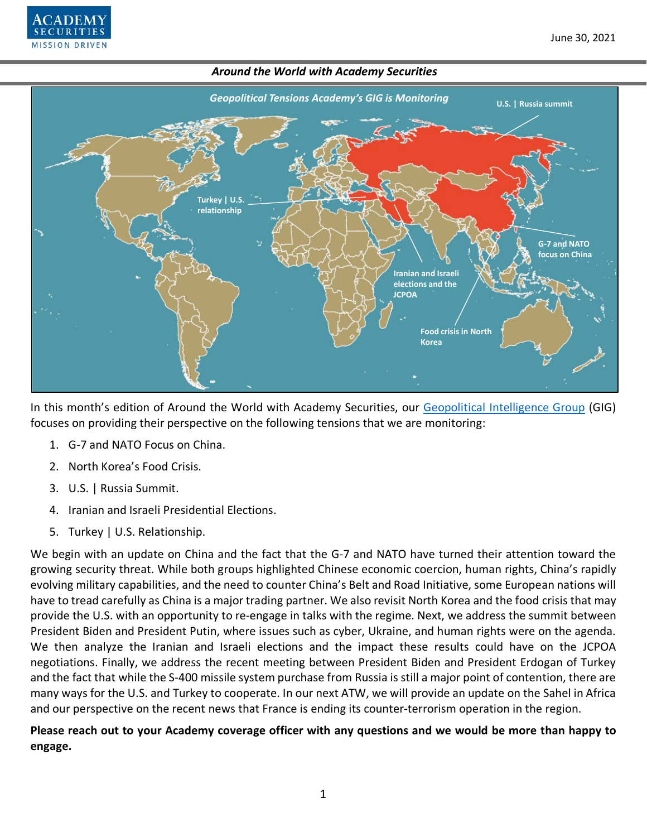



In this month's edition of Around the World with Academy Securities, our [Geopolitical Intelligence Group](https://www.academysecurities.com/geopolitical/geopolitical-intelligence-group/) (GIG) focuses on providing their perspective on the following tensions that we are monitoring:

- 1. G-7 and NATO Focus on China.
- 2. North Korea's Food Crisis.
- 3. U.S. | Russia Summit.
- 4. Iranian and Israeli Presidential Elections.
- 5. Turkey | U.S. Relationship.

We begin with an update on China and the fact that the G-7 and NATO have turned their attention toward the growing security threat. While both groups highlighted Chinese economic coercion, human rights, China's rapidly evolving military capabilities, and the need to counter China's Belt and Road Initiative, some European nations will have to tread carefully as China is a major trading partner. We also revisit North Korea and the food crisis that may provide the U.S. with an opportunity to re-engage in talks with the regime. Next, we address the summit between President Biden and President Putin, where issues such as cyber, Ukraine, and human rights were on the agenda. We then analyze the Iranian and Israeli elections and the impact these results could have on the JCPOA negotiations. Finally, we address the recent meeting between President Biden and President Erdogan of Turkey and the fact that while the S-400 missile system purchase from Russia is still a major point of contention, there are many ways for the U.S. and Turkey to cooperate. In our next ATW, we will provide an update on the Sahel in Africa and our perspective on the recent news that France is ending its counter-terrorism operation in the region.

**Please reach out to your Academy coverage officer with any questions and we would be more than happy to engage.**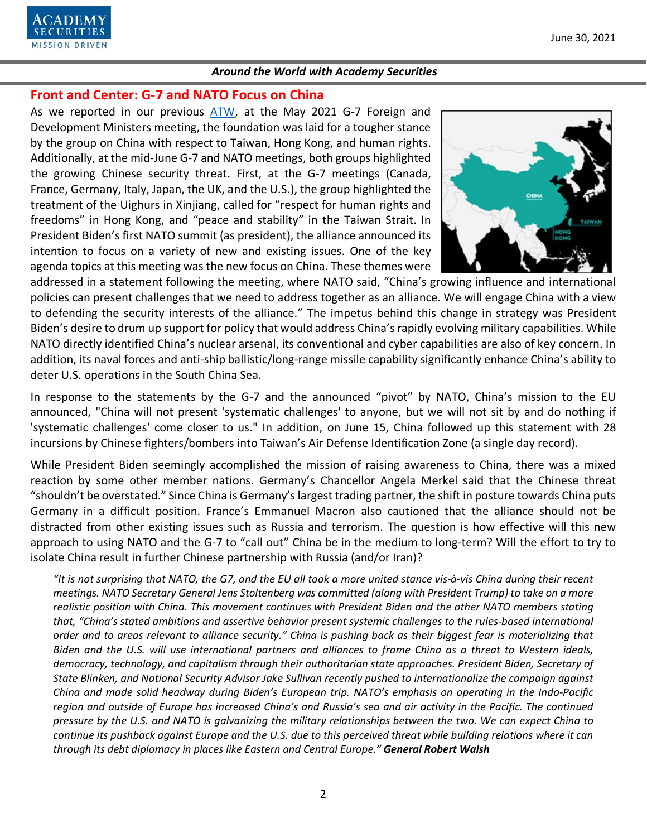

# **Front and Center: G-7 and NATO Focus on China**

As we reported in our previous [ATW,](https://www.academysecurities.com/wordpress/wp-content/uploads/2021/05/Around-the-World-with-Academy-Securities_5-27-21.pdf) at the May 2021 G-7 Foreign and Development Ministers meeting, the foundation was laid for a tougher stance by the group on China with respect to Taiwan, Hong Kong, and human rights. Additionally, at the mid-June G-7 and NATO meetings, both groups highlighted the growing Chinese security threat. First, at the G-7 meetings (Canada, France, Germany, Italy, Japan, the UK, and the U.S.), the group highlighted the treatment of the Uighurs in Xinjiang, called for "respect for human rights and freedoms" in Hong Kong, and "peace and stability" in the Taiwan Strait. In President Biden's first NATO summit (as president), the alliance announced its intention to focus on a variety of new and existing issues. One of the key agenda topics at this meeting was the new focus on China. These themes were



addressed in a statement following the meeting, where NATO said, "China's growing influence and international policies can present challenges that we need to address together as an alliance. We will engage China with a view to defending the security interests of the alliance." The impetus behind this change in strategy was President Biden's desire to drum up support for policy that would address China's rapidly evolving military capabilities. While NATO directly identified China's nuclear arsenal, its conventional and cyber capabilities are also of key concern. In addition, its naval forces and anti-ship ballistic/long-range missile capability significantly enhance China's ability to deter U.S. operations in the South China Sea.

In response to the statements by the G-7 and the announced "pivot" by NATO, China's mission to the EU announced, "China will not present 'systematic challenges' to anyone, but we will not sit by and do nothing if 'systematic challenges' come closer to us." In addition, on June 15, China followed up this statement with 28 incursions by Chinese fighters/bombers into Taiwan's Air Defense Identification Zone (a single day record).

While President Biden seemingly accomplished the mission of raising awareness to China, there was a mixed reaction by some other member nations. Germany's Chancellor Angela Merkel said that the Chinese threat "shouldn't be overstated." Since China is Germany's largest trading partner, the shift in posture towards China puts Germany in a difficult position. France's Emmanuel Macron also cautioned that the alliance should not be distracted from other existing issues such as Russia and terrorism. The question is how effective will this new approach to using NATO and the G-7 to "call out" China be in the medium to long-term? Will the effort to try to isolate China result in further Chinese partnership with Russia (and/or Iran)?

*"It is not surprising that NATO, the G7, and the EU all took a more united stance vis-à-vis China during their recent meetings. NATO Secretary General Jens Stoltenberg was committed (along with President Trump) to take on a more realistic position with China. This movement continues with President Biden and the other NATO members stating that, "China's stated ambitions and assertive behavior present systemic challenges to the rules-based international order and to areas relevant to alliance security." China is pushing back as their biggest fear is materializing that Biden and the U.S. will use international partners and alliances to frame China as a threat to Western ideals, democracy, technology, and capitalism through their authoritarian state approaches. President Biden, Secretary of State Blinken, and National Security Advisor Jake Sullivan recently pushed to internationalize the campaign against China and made solid headway during Biden's European trip. NATO's emphasis on operating in the Indo-Pacific region and outside of Europe has increased China's and Russia's sea and air activity in the Pacific. The continued pressure by the U.S. and NATO is galvanizing the military relationships between the two. We can expect China to continue its pushback against Europe and the U.S. due to this perceived threat while building relations where it can through its debt diplomacy in places like Eastern and Central Europe." General Robert Walsh*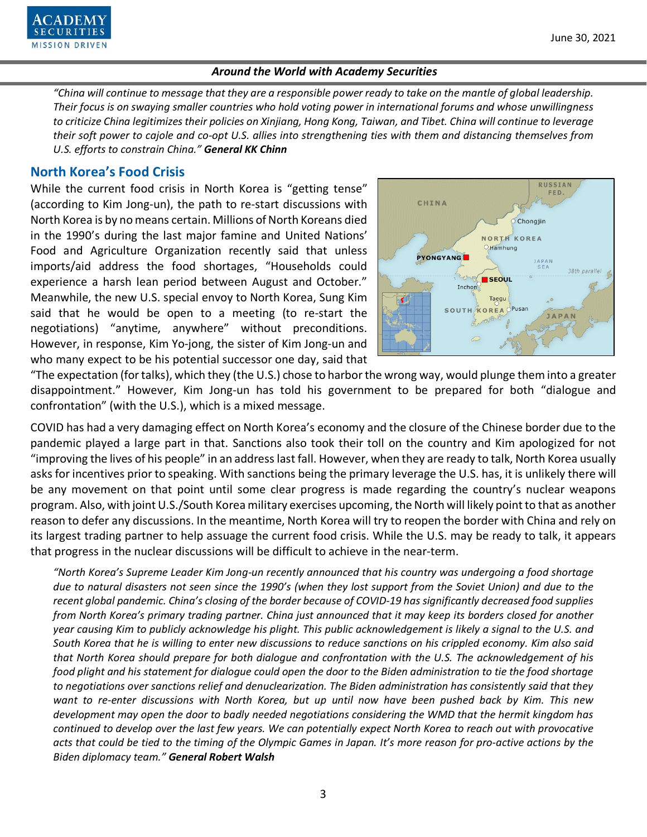

*"China will continue to message that they are a responsible power ready to take on the mantle of global leadership. Their focus is on swaying smaller countries who hold voting power in international forums and whose unwillingness to criticize China legitimizes their policies on Xinjiang, Hong Kong, Taiwan, and Tibet. China will continue to leverage their soft power to cajole and co-opt U.S. allies into strengthening ties with them and distancing themselves from U.S. efforts to constrain China." General KK Chinn*

# **North Korea's Food Crisis**

While the current food crisis in North Korea is "getting tense" (according to Kim Jong-un), the path to re-start discussions with North Korea is by no means certain. Millions of North Koreans died in the 1990's during the last major famine and United Nations' Food and Agriculture Organization recently said that unless imports/aid address the food shortages, "Households could experience a harsh lean period between August and October." Meanwhile, the new U.S. special envoy to North Korea, Sung Kim said that he would be open to a meeting (to re-start the negotiations) "anytime, anywhere" without preconditions. However, in response, Kim Yo-jong, the sister of Kim Jong-un and who many expect to be his potential successor one day, said that



"The expectation (for talks), which they (the U.S.) chose to harbor the wrong way, would plunge them into a greater disappointment." However, Kim Jong-un has told his government to be prepared for both "dialogue and confrontation" (with the U.S.), which is a mixed message.

COVID has had a very damaging effect on North Korea's economy and the closure of the Chinese border due to the pandemic played a large part in that. Sanctions also took their toll on the country and Kim apologized for not "improving the lives of his people" in an address last fall. However, when they are ready to talk, North Korea usually asks for incentives prior to speaking. With sanctions being the primary leverage the U.S. has, it is unlikely there will be any movement on that point until some clear progress is made regarding the country's nuclear weapons program. Also, with joint U.S./South Korea military exercises upcoming, the North will likely point to that as another reason to defer any discussions. In the meantime, North Korea will try to reopen the border with China and rely on its largest trading partner to help assuage the current food crisis. While the U.S. may be ready to talk, it appears that progress in the nuclear discussions will be difficult to achieve in the near-term.

*"North Korea's Supreme Leader Kim Jong-un recently announced that his country was undergoing a food shortage due to natural disasters not seen since the 1990's (when they lost support from the Soviet Union) and due to the recent global pandemic. China's closing of the border because of COVID-19 has significantly decreased food supplies from North Korea's primary trading partner. China just announced that it may keep its borders closed for another year causing Kim to publicly acknowledge his plight. This public acknowledgement is likely a signal to the U.S. and South Korea that he is willing to enter new discussions to reduce sanctions on his crippled economy. Kim also said that North Korea should prepare for both dialogue and confrontation with the U.S. The acknowledgement of his food plight and his statement for dialogue could open the door to the Biden administration to tie the food shortage to negotiations over sanctions relief and denuclearization. The Biden administration has consistently said that they want to re-enter discussions with North Korea, but up until now have been pushed back by Kim. This new development may open the door to badly needed negotiations considering the WMD that the hermit kingdom has continued to develop over the last few years. We can potentially expect North Korea to reach out with provocative acts that could be tied to the timing of the Olympic Games in Japan. It's more reason for pro-active actions by the Biden diplomacy team." General Robert Walsh*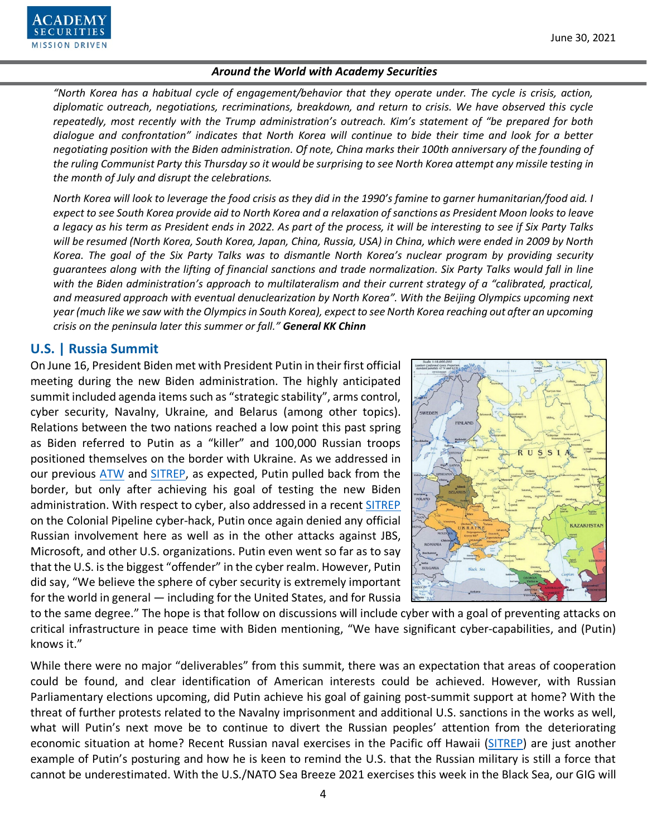

*"North Korea has a habitual cycle of engagement/behavior that they operate under. The cycle is crisis, action, diplomatic outreach, negotiations, recriminations, breakdown, and return to crisis. We have observed this cycle repeatedly, most recently with the Trump administration's outreach. Kim's statement of "be prepared for both dialogue and confrontation" indicates that North Korea will continue to bide their time and look for a better negotiating position with the Biden administration. Of note, China marks their 100th anniversary of the founding of the ruling Communist Party this Thursday so it would be surprising to see North Korea attempt any missile testing in the month of July and disrupt the celebrations.*

*North Korea will look to leverage the food crisis as they did in the 1990's famine to garner humanitarian/food aid. I expect to see South Korea provide aid to North Korea and a relaxation of sanctions as President Moon looks to leave a legacy as his term as President ends in 2022. As part of the process, it will be interesting to see if Six Party Talks will be resumed (North Korea, South Korea, Japan, China, Russia, USA) in China, which were ended in 2009 by North Korea. The goal of the Six Party Talks was to dismantle North Korea's nuclear program by providing security guarantees along with the lifting of financial sanctions and trade normalization. Six Party Talks would fall in line with the Biden administration's approach to multilateralism and their current strategy of a "calibrated, practical, and measured approach with eventual denuclearization by North Korea". With the Beijing Olympics upcoming next year (much like we saw with the Olympics in South Korea), expect to see North Korea reaching out after an upcoming crisis on the peninsula later this summer or fall." General KK Chinn*

# **U.S. | Russia Summit**

On June 16, President Biden met with President Putin in their first official meeting during the new Biden administration. The highly anticipated summit included agenda items such as "strategic stability", arms control, cyber security, Navalny, Ukraine, and Belarus (among other topics). Relations between the two nations reached a low point this past spring as Biden referred to Putin as a "killer" and 100,000 Russian troops positioned themselves on the border with Ukraine. As we addressed in our previous [ATW](https://www.academysecurities.com/wordpress/wp-content/uploads/2021/05/Around-the-World-with-Academy-Securities_5-27-21.pdf) and [SITREP,](https://www.academysecurities.com/russian-troop-increase-on-the-ukrainian-border/) as expected, Putin pulled back from the border, but only after achieving his goal of testing the new Biden administration. With respect to cyber, also addressed in a recent [SITREP](https://www.academysecurities.com/cyber-hack-on-u-s-infrastructure/) on the Colonial Pipeline cyber-hack, Putin once again denied any official Russian involvement here as well as in the other attacks against JBS, Microsoft, and other U.S. organizations. Putin even went so far as to say that the U.S. is the biggest "offender" in the cyber realm. However, Putin did say, "We believe the sphere of cyber security is extremely important for the world in general — including for the United States, and for Russia



to the same degree." The hope is that follow on discussions will include cyber with a goal of preventing attacks on critical infrastructure in peace time with Biden mentioning, "We have significant cyber-capabilities, and (Putin) knows it."

While there were no major "deliverables" from this summit, there was an expectation that areas of cooperation could be found, and clear identification of American interests could be achieved. However, with Russian Parliamentary elections upcoming, did Putin achieve his goal of gaining post-summit support at home? With the threat of further protests related to the Navalny imprisonment and additional U.S. sanctions in the works as well, what will Putin's next move be to continue to divert the Russian peoples' attention from the deteriorating economic situation at home? Recent Russian naval exercises in the Pacific off Hawaii [\(SITREP\)](https://www.academysecurities.com/around-the-world-teaser/) are just another example of Putin's posturing and how he is keen to remind the U.S. that the Russian military is still a force that cannot be underestimated. With the U.S./NATO Sea Breeze 2021 exercises this week in the Black Sea, our GIG will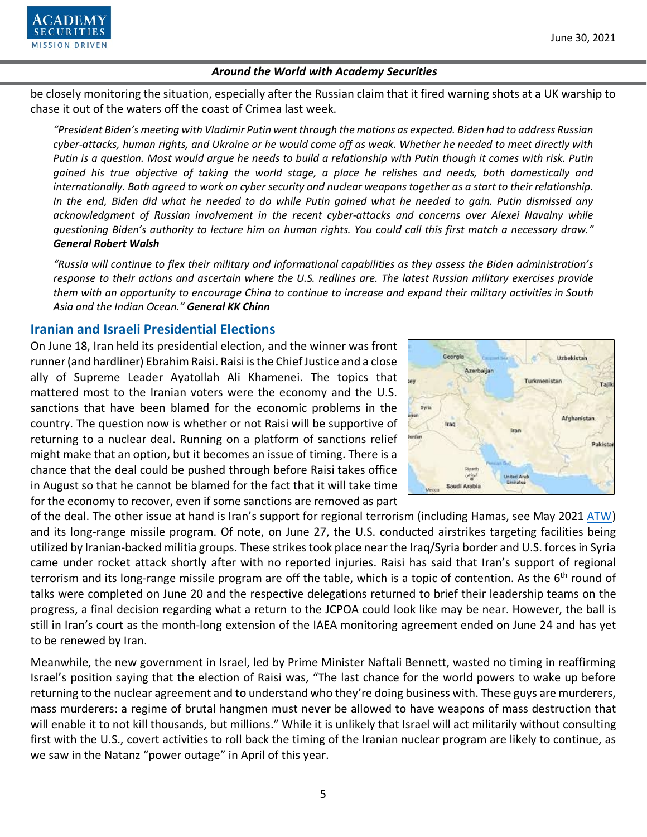

be closely monitoring the situation, especially after the Russian claim that it fired warning shots at a UK warship to chase it out of the waters off the coast of Crimea last week.

*"President Biden's meeting with Vladimir Putin went through the motions as expected. Biden had to address Russian cyber-attacks, human rights, and Ukraine or he would come off as weak. Whether he needed to meet directly with Putin is a question. Most would argue he needs to build a relationship with Putin though it comes with risk. Putin gained his true objective of taking the world stage, a place he relishes and needs, both domestically and internationally. Both agreed to work on cyber security and nuclear weapons together as a start to their relationship. In the end, Biden did what he needed to do while Putin gained what he needed to gain. Putin dismissed any acknowledgment of Russian involvement in the recent cyber-attacks and concerns over Alexei Navalny while questioning Biden's authority to lecture him on human rights. You could call this first match a necessary draw." General Robert Walsh*

*"Russia will continue to flex their military and informational capabilities as they assess the Biden administration's response to their actions and ascertain where the U.S. redlines are. The latest Russian military exercises provide them with an opportunity to encourage China to continue to increase and expand their military activities in South Asia and the Indian Ocean." General KK Chinn*

# **Iranian and Israeli Presidential Elections**

On June 18, Iran held its presidential election, and the winner was front runner (and hardliner) Ebrahim Raisi. Raisi is the Chief Justice and a close ally of Supreme Leader Ayatollah Ali Khamenei. The topics that mattered most to the Iranian voters were the economy and the U.S. sanctions that have been blamed for the economic problems in the country. The question now is whether or not Raisi will be supportive of returning to a nuclear deal. Running on a platform of sanctions relief might make that an option, but it becomes an issue of timing. There is a chance that the deal could be pushed through before Raisi takes office in August so that he cannot be blamed for the fact that it will take time for the economy to recover, even if some sanctions are removed as part



of the deal. The other issue at hand is Iran's support for regional terrorism (including Hamas, see May 2021 [ATW\)](https://www.academysecurities.com/wordpress/wp-content/uploads/2021/05/Around-the-World-with-Academy-Securities_5-27-21.pdf) and its long-range missile program. Of note, on June 27, the U.S. conducted airstrikes targeting facilities being utilized by Iranian-backed militia groups. These strikes took place near the Iraq/Syria border and U.S. forces in Syria came under rocket attack shortly after with no reported injuries. Raisi has said that Iran's support of regional terrorism and its long-range missile program are off the table, which is a topic of contention. As the 6<sup>th</sup> round of talks were completed on June 20 and the respective delegations returned to brief their leadership teams on the progress, a final decision regarding what a return to the JCPOA could look like may be near. However, the ball is still in Iran's court as the month-long extension of the IAEA monitoring agreement ended on June 24 and has yet to be renewed by Iran.

Meanwhile, the new government in Israel, led by Prime Minister Naftali Bennett, wasted no timing in reaffirming Israel's position saying that the election of Raisi was, "The last chance for the world powers to wake up before returning to the nuclear agreement and to understand who they're doing business with. These guys are murderers, mass murderers: a regime of brutal hangmen must never be allowed to have weapons of mass destruction that will enable it to not kill thousands, but millions." While it is unlikely that Israel will act militarily without consulting first with the U.S., covert activities to roll back the timing of the Iranian nuclear program are likely to continue, as we saw in the Natanz "power outage" in April of this year.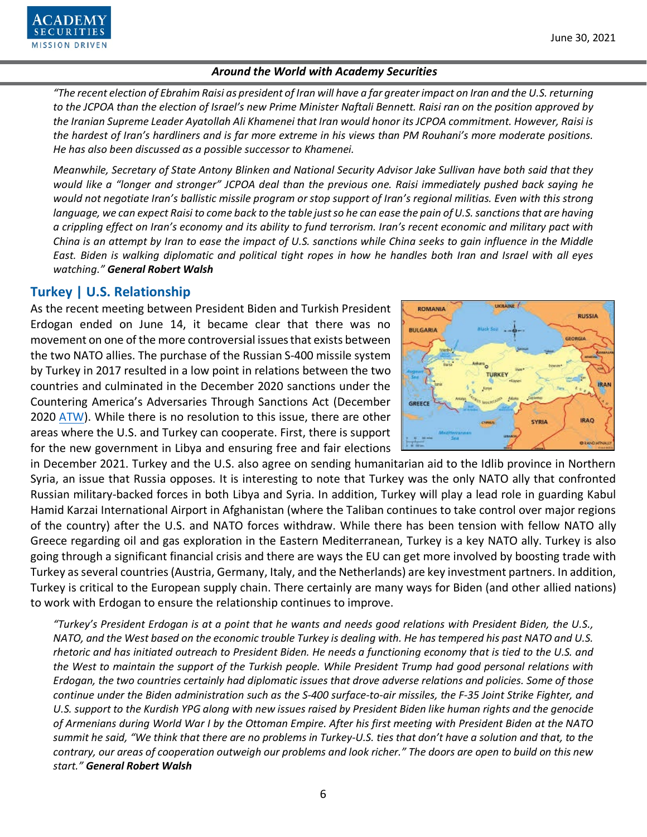

*"The recent election of Ebrahim Raisi as president of Iran will have a far greater impact on Iran and the U.S. returning to the JCPOA than the election of Israel's new Prime Minister Naftali Bennett. Raisi ran on the position approved by the Iranian Supreme Leader Ayatollah Ali Khamenei that Iran would honor its JCPOA commitment. However, Raisi is the hardest of Iran's hardliners and is far more extreme in his views than PM Rouhani's more moderate positions. He has also been discussed as a possible successor to Khamenei.* 

*Meanwhile, Secretary of State Antony Blinken and National Security Advisor Jake Sullivan have both said that they would like a "longer and stronger" JCPOA deal than the previous one. Raisi immediately pushed back saying he would not negotiate Iran's ballistic missile program or stop support of Iran's regional militias. Even with this strong language, we can expect Raisi to come back to the table just so he can ease the pain of U.S. sanctions that are having a crippling effect on Iran's economy and its ability to fund terrorism. Iran's recent economic and military pact with China is an attempt by Iran to ease the impact of U.S. sanctions while China seeks to gain influence in the Middle East. Biden is walking diplomatic and political tight ropes in how he handles both Iran and Israel with all eyes watching." General Robert Walsh*

# **Turkey | U.S. Relationship**

As the recent meeting between President Biden and Turkish President Erdogan ended on June 14, it became clear that there was no movement on one of the more controversial issues that exists between the two NATO allies. The purchase of the Russian S-400 missile system by Turkey in 2017 resulted in a low point in relations between the two countries and culminated in the December 2020 sanctions under the Countering America's Adversaries Through Sanctions Act (December 2020 [ATW\)](https://www.academysecurities.com/wordpress/wp-content/uploads/2020/12/Around-the-World-with-Academy-Securities_12_22_20.pdf). While there is no resolution to this issue, there are other areas where the U.S. and Turkey can cooperate. First, there is support for the new government in Libya and ensuring free and fair elections



in December 2021. Turkey and the U.S. also agree on sending humanitarian aid to the Idlib province in Northern Syria, an issue that Russia opposes. It is interesting to note that Turkey was the only NATO ally that confronted Russian military-backed forces in both Libya and Syria. In addition, Turkey will play a lead role in guarding Kabul Hamid Karzai International Airport in Afghanistan (where the Taliban continues to take control over major regions of the country) after the U.S. and NATO forces withdraw. While there has been tension with fellow NATO ally Greece regarding oil and gas exploration in the Eastern Mediterranean, Turkey is a key NATO ally. Turkey is also going through a significant financial crisis and there are ways the EU can get more involved by boosting trade with Turkey as several countries (Austria, Germany, Italy, and the Netherlands) are key investment partners. In addition, Turkey is critical to the European supply chain. There certainly are many ways for Biden (and other allied nations) to work with Erdogan to ensure the relationship continues to improve.

*"Turkey's President Erdogan is at a point that he wants and needs good relations with President Biden, the U.S., NATO, and the West based on the economic trouble Turkey is dealing with. He has tempered his past NATO and U.S. rhetoric and has initiated outreach to President Biden. He needs a functioning economy that is tied to the U.S. and the West to maintain the support of the Turkish people. While President Trump had good personal relations with Erdogan, the two countries certainly had diplomatic issues that drove adverse relations and policies. Some of those continue under the Biden administration such as the S-400 surface-to-air missiles, the F-35 Joint Strike Fighter, and U.S. support to the Kurdish YPG along with new issues raised by President Biden like human rights and the genocide of Armenians during World War I by the Ottoman Empire. After his first meeting with President Biden at the NATO summit he said, "We think that there are no problems in Turkey-U.S. ties that don't have a solution and that, to the contrary, our areas of cooperation outweigh our problems and look richer." The doors are open to build on this new start." General Robert Walsh*